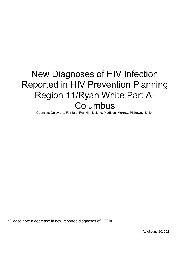# New Diagnoses of HIV Infection Reported in HIV Prevention Planning Region 11/Ryan White Part A-**Columbus**

Counties: Delaware, Fairfield, Franklin, Licking, Madison, Morrow, Pickaway, Union

\*Please note a decrease in new reported diagnoses of HIV in 2020 may not represent a true decline, and may be a reporting artifact as a result of COVID-19.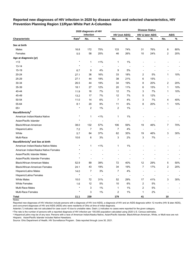|                                              |                   | 2020 diagnosis of HIV    |                          |                          |                          |                          | <b>Disease Status</b> |                |             |
|----------------------------------------------|-------------------|--------------------------|--------------------------|--------------------------|--------------------------|--------------------------|-----------------------|----------------|-------------|
|                                              |                   | infection                |                          |                          | <b>HIV (not AIDS)</b>    |                          | HIV & later AIDS      |                | <b>AIDS</b> |
| Characteristic                               | Rate <sup>a</sup> | No.                      | $\%$                     | No.                      | $\%$                     | No.                      | $\%$                  | No.            | $\%$        |
| Sex at birth                                 |                   |                          |                          |                          |                          |                          |                       |                |             |
| Males                                        | 16.8              | 172                      | 75%                      | 133                      | 74%                      | 31                       | 76%                   | 8              | 80%         |
| Females                                      | 5.5               | 58                       | 25%                      | 46                       | 26%                      | 10                       | 24%                   | 2              | 20%         |
| Age at diagnosis (yr)                        |                   |                          |                          |                          |                          |                          |                       |                |             |
| $<13$                                        | $\star$           | $\mathbf{1}$             | 1%                       | 1                        | 1%                       |                          |                       |                |             |
| $13 - 14$                                    | $\star$           | $\overline{\phantom{a}}$ | $\overline{\phantom{a}}$ | $\overline{\phantom{a}}$ | $\overline{\phantom{a}}$ |                          |                       |                |             |
| 15-19                                        | 6.7               | 9                        | 4%                       | 9                        | 5%                       |                          |                       |                |             |
| 20-24                                        | 27.1              | 36                       | 16%                      | 33                       | 18%                      | 2                        | 5%                    | 1              | 10%         |
| 25-29                                        | 27.1              | 44                       | 19%                      | 38                       | 21%                      | 6                        | 15%                   | $\overline{a}$ |             |
| 30-34                                        | 26.5              | 44                       | 19%                      | 34                       | 19%                      | 8                        | 20%                   | 2              | 20%         |
| 35-39                                        | 18.1              | 27                       | 12%                      | 20                       | 11%                      | 6                        | 15%                   | 1              | 10%         |
| 40-44                                        | 11.9              | 16                       | 7%                       | 12                       | 7%                       | 3                        | 7%                    | 1              | 10%         |
| 45-49                                        | 13.2              | 17                       | 7%                       | 12                       | 7%                       | 5                        | 12%                   | $\overline{a}$ |             |
| 50-54                                        | 11.0              | 14                       | 6%                       | 7                        | 4%                       | 3                        | 7%                    | 4              | 40%         |
| 55-64                                        | 8.1               | 20                       | 9%                       | 11                       | 6%                       | 8                        | 20%                   | 1              | 10%         |
| $65+$                                        | $\star$           | $\overline{c}$           | 1%                       | $\overline{c}$           | 1%                       |                          |                       |                |             |
| Race/Ethnicity <sup>b</sup>                  |                   |                          |                          |                          |                          |                          |                       |                |             |
| American Indian/Alaska Native                | $\star$           | $\mathbf{1}$             | $< 1\%$                  | $\mathbf{1}$             | 1%                       |                          |                       |                |             |
| Asian/Pacific Islander                       | $\star$           | ÷,                       | $\overline{\phantom{a}}$ | -                        | $\overline{a}$           |                          |                       |                |             |
| Black/African-American                       | 38.0              | 132                      | 57%                      | 106                      | 59%                      | 19                       | 46%                   | 7              | 70%         |
| Hispanic/Latinx                              | 7.2               | 7                        | 3%                       | $\boldsymbol{7}$         | 4%                       | $\overline{\phantom{a}}$ |                       |                |             |
| White                                        | 5.7               | 84                       | 37%                      | 62                       | 35%                      | 19                       | 46%                   | 3              | 30%         |
| Multi-Race                                   | 10.6              | 6                        | 3%                       | 3                        | 2%                       | 3                        | 7%                    |                |             |
| Race/Ethnicity <sup>b</sup> and Sex at birth |                   |                          |                          |                          |                          |                          |                       |                |             |
| American Indian/Alaska Native Males          | $^\star$          | $\mathbf{1}$             | 1%                       | 1                        | 1%                       |                          |                       |                |             |
| American Indian/Alaska Native Females        | $\star$           |                          |                          |                          | $\overline{a}$           |                          |                       |                |             |
| Asian/Pacific Islander Males                 | $\star$           |                          |                          |                          |                          |                          |                       |                |             |
| Asian/Pacific Islander Females               | $^\star$          | $\overline{a}$           |                          | ٠                        |                          |                          |                       |                |             |
| Black/African-American Males                 | 52.9              | 89                       | 39%                      | 72                       | 40%                      | 12                       | 29%                   | 5              | 50%         |
| <b>Black/African-American Females</b>        | 24.1              | 43                       | 19%                      | 34                       | 19%                      | 7                        | 17%                   | 2              | 20%         |
| Hispanic/Latino Males                        | 14.0              | $\boldsymbol{7}$         | $3%$                     | $\boldsymbol{7}$         | 4%                       |                          |                       |                |             |
| Hispanic/Latina Females                      | $\ast$            | $\overline{\phantom{a}}$ | $\overline{\phantom{a}}$ | $\overline{\phantom{a}}$ | $\overline{\phantom{a}}$ |                          |                       |                |             |
| <b>White Males</b>                           | 10.0              | $72\,$                   | 31%                      | 52                       | 29%                      | 17                       | 41%                   | 3              | 30%         |
| <b>White Females</b>                         | 1.6               | 12                       | 5%                       | $10$                     | 6%                       | $\overline{c}$           | 5%                    |                |             |
| Multi-Race Males                             | $\star$           | 3                        | $1\%$                    | $\mathbf{1}$             | $1\%$                    | $\overline{c}$           | $5%$                  |                |             |
| <b>Multi-Race Females</b>                    | $\star$           | 3                        | $1\%$                    | 2                        | $1\%$                    | 1                        | 2%                    |                |             |
| <b>Total</b>                                 | 11.1              | 230                      |                          | 179                      |                          | 41                       |                       | 10             |             |

**Reported new diagnoses of HIV infection in 2020 by disease status and selected characteristics, HIV Prevention Planning Region 11/Ryan White Part A-Columbus**

Notes:

Reported new diagnoses of HIV infection include persons with a diagnosis of HIV (not AIDS), a diagnosis of HIV and an AIDS diagnosis within 12 months (HIV & later AIDS), and concurrent diagnoses of HIV and AIDS (AIDS) who were residents of Ohio at time of initial diagnosis.

Asterisk (\*) indicates rate not calculated for case count <5 due to unstable rates. Dash (-) indicates no cases were reported for the given category.

<sup>a</sup>The rate is the number of persons with a reported diagnosis of HIV infection per 100,000 population calculated using 2020 U.S. Census estimates.

**b Hispanics/Latinx may be of any race. Persons with a race of American Indian/Alaska Native, Asian/Pacific Islander, Black/African-American, White, or Multi-race are not-**Hispanic. Asian/Pacific Islander includes Native Hawaiians.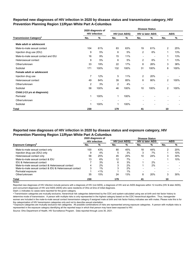# **Reported new diagnoses of HIV infection in 2020 by disease status and transmission category, HIV Prevention Planning Region 11/Ryan White Part A-Columbus**

|                                          |                | 2020 diagnosis of    |     |                       |                          | <b>Disease Status</b>       |                          |             |
|------------------------------------------|----------------|----------------------|-----|-----------------------|--------------------------|-----------------------------|--------------------------|-------------|
|                                          |                | <b>HIV infection</b> |     | <b>HIV (not AIDS)</b> |                          | <b>HIV &amp; later AIDS</b> |                          | <b>AIDS</b> |
| <b>Transmission Category<sup>a</sup></b> | No.            | %                    | No. | ℅                     | No.                      | %                           | No.                      | $\%$        |
| Male adult or adolescent                 |                |                      |     |                       |                          |                             |                          |             |
| Male-to-male sexual contact              | 104            | 61%                  | 83  | 63%                   | 19                       | 61%                         | 2                        | 25%         |
| Injection drug use (IDU)                 | 9              | 5%                   | 6   | 5%                    | 2                        | 6%                          | 1                        | 13%         |
| Male-to-male sexual contact and IDU      | 16             | 9%                   | 15  | 11%                   | ٠                        | ٠                           | 1                        | 13%         |
| Heterosexual contact                     | 9              | 5%                   | 6   | 5%                    | $\overline{2}$           | 6%                          | 1                        | 13%         |
| Other/unknown                            | 33             | 19%                  | 22  | 17%                   | 8                        | 26%                         | 3                        | 38%         |
| Subtotal                                 | 171            | 100%                 | 132 | 100%                  | 31                       | 100%                        | 8                        | 100%        |
| Female adult or adolescent               |                |                      |     |                       |                          |                             |                          |             |
| Injection drug use                       | $\overline{7}$ | 12%                  | 5   | 11%                   | $\overline{2}$           | 20%                         |                          |             |
| Heterosexual contact                     | 49             | 84%                  | 39  | 85%                   | 8                        | 80%                         | $\overline{2}$           | 100%        |
| Other/unknown                            | $\overline{2}$ | 3%                   | 2   | 4%                    | $\overline{\phantom{a}}$ | $\overline{\phantom{0}}$    | $\overline{\phantom{0}}$ |             |
| Subtotal                                 | 58             | 100%                 | 46  | 100%                  | 10                       | 100%                        | $\overline{2}$           | 100%        |
| Child (<13 yrs at diagnosis)             |                |                      |     |                       |                          |                             |                          |             |
| Perinatal                                | 1              | 100%                 | 1   | 100%                  |                          |                             |                          |             |
| Other/unknown                            |                |                      |     |                       |                          | $\blacksquare$              |                          |             |
| Subtotal                                 | 1              | 100%                 | 1   | 100%                  |                          | $\overline{\phantom{a}}$    |                          |             |
| Total                                    | 230            |                      | 179 |                       | 41                       |                             | 10                       |             |

# **Reported new diagnoses of HIV infection in 2020 by disease status and exposure category, HIV Prevention Planning Region 11/Ryan White Part A-Columbus**

|                                                          |                      | 2020 diagnosis of | <b>Disease Status</b> |     |                          |                             |     |             |
|----------------------------------------------------------|----------------------|-------------------|-----------------------|-----|--------------------------|-----------------------------|-----|-------------|
|                                                          | <b>HIV</b> infection |                   | <b>HIV (not AIDS)</b> |     |                          | <b>HIV &amp; later AIDS</b> |     | <b>AIDS</b> |
| <b>Exposure Category</b> <sup>p</sup>                    | No.                  | %                 | No.                   | %   | No.                      | %                           | No. | %           |
| Male-to-male sexual contact only                         | 100                  | 43%               | 80                    | 45% | 18                       | 44%                         | 2   | 20%         |
| Injection drug use (IDU) only                            | 9                    | 4%                | 5                     | 3%  | 3                        | 7%                          |     | 10%         |
| Heterosexual contact only                                | 58                   | 25%               | 45                    | 25% | 10                       | 24%                         | 3   | 30%         |
| Male-to-male sexual contact & IDU                        | 13                   | 6%                | 12                    | 7%  | $\overline{\phantom{0}}$ |                             |     | 10%         |
| IDU & Heterosexual contact                               |                      | 3%                | 6                     | 3%  |                          | 2%                          |     |             |
| Male-to-male sexual contact & Heterosexual contact       | 4                    | 2%                | 3                     | 2%  |                          | 2%                          |     |             |
| Male-to-male sexual contact & IDU & Heterosexual contact | 3                    | $1\%$             | 3                     | 2%  |                          |                             |     |             |
| Perinatal exposure                                       |                      | $< 1\%$           |                       | 1%  | $\overline{\phantom{0}}$ |                             |     |             |
| Other/unknown                                            | 35                   | 15%               | 24                    | 13% | 8                        | 20%                         | 3   | 30%         |
| Total                                                    | 230                  |                   | 179                   |     | 41                       |                             | 10  |             |

Notes:

Reported new diagnoses of HIV infection include persons with a diagnosis of HIV (not AIDS), a diagnosis of HIV and an AIDS diagnosis within 12 months (HIV & later AIDS), and concurrent diagnoses of HIV and AIDS (AIDS) who were residents of Ohio at time of initial diagnosis.

Dash (-) indicates no cases were reported for the given category.

a Transmission categories are mutually exclusive, hierarchical risk categories determined by the CDC and system-calculated using sex at birth and risk factor history to determine mode of transmission. A person with multiple risks is only represented in the highest category based on the CDC hierarchical algorithm. Thus, transgender women are included in the male-to-male sexual contact transmission category if assigned male at birth and risk factor history indicates sex with males. Please note this is for the categorization of HIV transmission categories only and not to describe sexual orientation.

**b** Exposure categories are mutually exclusive risk categories. All possible combinations of risks are represented among exposure categories. A person with multiple risks is represented in the exposure category identifying all the reported ways in which that person may have been exposed to HIV.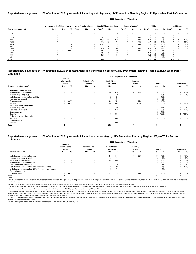Reported new diagnoses of HIV infection include persons with a diagnosis of HIV (not AIDS), a diagnosis of HIV and an AIDS diagnosis within 12 months (HIV & later AIDS), and concurrent diagnoses of HIV and AIDS (AIDS) who of initial diagnosis.

© Transmission categories are mutually exclusive, hierarchical risk categories determined by the CDC and system-calculated using sex at birth and risk factor history to determine mode of transmission. A person with multip highest category based on the CDC hierarchical algorithm. Thus, transgender women are included in the male-to-male sexual contact transmission category if assigned male at birth and risk factor history indicates sex with m categorization of HIV transmission categories only and not to describe sexual orientation.

<sup>d</sup> Exposure categories are mutually exclusive risk categories. All possible combinations of risks are represented among exposure categories. A person with multiple risks is represented in the exposure category identifying person may have been exposed to HIV.

Source: Ohio Department of Health, HIV Surveillance Program. Data reported through June 30, 2021.

|                       | American Indian/Alaska Native |                          |                          | Asian/Pacific Islander |                          |                          | <b>Black/African-American</b> |     |       |                   | <b>Hispanic/Latinx<sup>ª</sup></b> |                          |                          | White |     |                          | <b>Multi-Race</b> |     |
|-----------------------|-------------------------------|--------------------------|--------------------------|------------------------|--------------------------|--------------------------|-------------------------------|-----|-------|-------------------|------------------------------------|--------------------------|--------------------------|-------|-----|--------------------------|-------------------|-----|
| Age at diagnosis (yr) | Rate <sup>b</sup>             | No.                      | %                        | Rate <sup>b</sup>      | No.                      | %                        | Rate <sup>r</sup>             | No. | %     | Rate <sup>b</sup> | No.                                | %                        | <b>Rate</b> <sup>p</sup> | No.   | %   | <b>Rate</b> <sup>p</sup> | No.               | %   |
| ~13                   | $\star$                       |                          |                          |                        |                          |                          |                               |     | 1%    |                   |                                    |                          |                          |       |     |                          |                   |     |
| $13 - 14$             |                               |                          |                          |                        |                          |                          |                               |     |       |                   |                                    |                          |                          |       |     |                          |                   |     |
| $15 - 19$             |                               |                          | $\overline{\phantom{0}}$ |                        | $\overline{\phantom{0}}$ | $\overline{\phantom{a}}$ | 28.4                          |     | 5%    | $\ast$            |                                    | 14%                      | $\ast$                   |       | 1%  | $\star$                  |                   |     |
| 20-24                 |                               |                          |                          |                        |                          | $\overline{\phantom{a}}$ | 115.5                         | 28  | 21%   | $\ast$            |                                    | 14%                      | 6.8                      | b     | 7%  | $\star$                  |                   | 17% |
| 25-29                 |                               | $\overline{\phantom{0}}$ | $\overline{\phantom{0}}$ |                        | $\overline{\phantom{a}}$ | $\overline{\phantom{a}}$ | 76.4                          | 23  | 17%   | $\star$           |                                    | 29%                      | 14.7                     | 16    | 19% | $\star$                  | 3                 | 50% |
| 30-34                 |                               |                          | $\overline{\phantom{0}}$ |                        | $\overline{\phantom{0}}$ | $\overline{\phantom{a}}$ | 102.7                         | 29  | 22%   |                   |                                    | 14%                      | 11.5                     | 13    | 15% |                          |                   | 17% |
| 35-39                 |                               | $\overline{\phantom{0}}$ | $\overline{\phantom{0}}$ |                        | $\overline{\phantom{0}}$ | $\overline{\phantom{0}}$ | 56.7                          | 14  | 11%   | $\star$           |                                    | $\overline{\phantom{a}}$ | 11.7                     | 12    | 14% | $\star$                  |                   | 17% |
| 40-44                 |                               |                          |                          |                        | -                        | $\overline{\phantom{0}}$ | 26.6                          | 6   | 5%    |                   |                                    | 14%                      | 9.5                      | 9     | 11% | $\star$                  |                   |     |
| 45-49                 |                               |                          | 100%                     |                        | $\overline{\phantom{a}}$ | $\overline{\phantom{a}}$ | 37.8                          |     | 6%    |                   |                                    | 14%                      | 7.6                      |       | 8%  |                          |                   |     |
| 50-54                 |                               |                          | $\overline{\phantom{0}}$ |                        |                          | $\overline{\phantom{0}}$ | 46.4                          |     | 7%    |                   |                                    |                          | 5.2                      | 5     | 6%  |                          |                   |     |
| 55-64                 |                               |                          | $\overline{\phantom{0}}$ |                        |                          |                          | 16.8                          |     | 5%    |                   |                                    | $\overline{\phantom{0}}$ | 7.2                      | 14    | 17% | $\star$                  |                   |     |
| $65+$                 |                               |                          | $\overline{\phantom{0}}$ |                        |                          |                          | $\star$                       |     | $1\%$ | $\star$           | $\overline{\phantom{0}}$           | $\overline{\phantom{0}}$ | *                        |       | 1%  | $\star$                  |                   |     |
| Total                 |                               |                          |                          |                        |                          |                          | 38.0                          | 132 |       | 7.2               |                                    |                          | 5.7                      | 84    |     | 10.6                     | o                 |     |

|                                           |                                            |      |                           |                          |                                   | <b>2020 diagnosis of HIV Infection</b> |                                  |                          |                          |      |                   |                          |
|-------------------------------------------|--------------------------------------------|------|---------------------------|--------------------------|-----------------------------------|----------------------------------------|----------------------------------|--------------------------|--------------------------|------|-------------------|--------------------------|
|                                           | American<br>Indian/Alaska<br><b>Native</b> |      | Asian/Pacific<br>Islander |                          | <b>Black/African-</b><br>American |                                        | Hispanic/<br>Latinx <sup>a</sup> |                          | White                    |      | <b>Multi-Race</b> |                          |
| <b>Transmission Category</b> <sup>c</sup> | No.                                        | %    | No.                       | %                        | No.                               | %                                      | No.                              | %                        | No.                      | %    | No.               | %                        |
| Male adult or adolescent                  |                                            |      |                           |                          |                                   |                                        |                                  |                          |                          |      |                   |                          |
| Male-to-male sexual contact               | $\overline{\phantom{0}}$                   |      | $\overline{\phantom{0}}$  | $\overline{\phantom{a}}$ | 56                                | 64%                                    | 6                                | 86%                      | 40                       | 56%  | $\overline{2}$    | 67%                      |
| Injection drug use (IDU)                  | $\overline{\phantom{0}}$                   |      | $\overline{a}$            |                          |                                   | 1%                                     | $\overline{\phantom{0}}$         |                          |                          | 10%  |                   | 33%                      |
| Male-to-male sexual contact and IDU       | $\overline{\phantom{0}}$                   |      | $\overline{\phantom{0}}$  | $\overline{\phantom{0}}$ | 2                                 | 2%                                     |                                  |                          | 14                       | 19%  |                   | $\overline{\phantom{0}}$ |
| Heterosexual contact                      |                                            |      | $\overline{a}$            | $\overline{\phantom{0}}$ |                                   | 8%                                     |                                  |                          |                          | 3%   |                   | ۰.                       |
| Other/unknown                             |                                            | 100% | $\overline{a}$            | $\overline{\phantom{a}}$ | 22                                | 25%                                    |                                  | 14%                      |                          | 13%  |                   | $\overline{\phantom{0}}$ |
| Subtotal                                  |                                            | 100% | $\overline{\phantom{0}}$  | $\overline{\phantom{0}}$ | 88                                | 100%                                   |                                  | 100%                     | 72                       | 100% | 3                 | 100%                     |
| Female adult or adolescent                |                                            |      |                           |                          |                                   |                                        |                                  |                          |                          |      |                   |                          |
| Injection drug use                        | $\overline{\phantom{0}}$                   |      | $\overline{\phantom{0}}$  | $\overline{\phantom{0}}$ | 2                                 | 5%                                     | $\overline{\phantom{0}}$         |                          |                          | 33%  |                   | 33%                      |
| Heterosexual contact                      | $\overline{\phantom{0}}$                   |      | $\sim$                    | $\overline{\phantom{a}}$ | 41                                | 95%                                    | $\overline{\phantom{0}}$         |                          | 6                        | 50%  | 2                 | 67%                      |
| Other/unknown                             | $\overline{\phantom{0}}$                   |      | $\overline{a}$            | $\overline{\phantom{a}}$ |                                   |                                        | $\overline{\phantom{0}}$         |                          |                          | 17%  |                   |                          |
| Subtotal                                  |                                            |      | $\overline{\phantom{0}}$  |                          | 43                                | 100%                                   |                                  |                          | 12                       | 100% | 3                 | 100%                     |
| Child (<13 yrs at diagnosis)              |                                            |      |                           |                          |                                   |                                        |                                  |                          |                          |      |                   |                          |
| Perinatal                                 | $\overline{\phantom{a}}$                   |      | $\overline{a}$            | $\overline{\phantom{0}}$ |                                   | 100%                                   | $\overline{\phantom{0}}$         |                          |                          |      |                   |                          |
| Other/unknown                             | $\overline{\phantom{0}}$                   |      | $\overline{\phantom{0}}$  | $\overline{\phantom{a}}$ |                                   |                                        | $\overline{\phantom{a}}$         | $\overline{\phantom{0}}$ | $\overline{\phantom{a}}$ |      |                   |                          |
| Subtotal                                  | $\overline{\phantom{0}}$                   |      | $\overline{\phantom{0}}$  |                          |                                   | 100%                                   |                                  |                          |                          |      |                   |                          |
| Total                                     |                                            |      |                           |                          | 132                               |                                        |                                  |                          | 84                       |      | 6                 |                          |

#### **Reported new diagnoses of HIV infection in 2020 by race/ethnicity and exposure category, HIV Prevention Planning Region 11/Ryan White Part A-Columbus 2020 diagnosis of HIV infection**

|                                                          |                                            |                          |                                  |                          |                                   |     | 2020 diagnosis of HIV infection  |                          |       |     |                   |      |
|----------------------------------------------------------|--------------------------------------------|--------------------------|----------------------------------|--------------------------|-----------------------------------|-----|----------------------------------|--------------------------|-------|-----|-------------------|------|
|                                                          | American<br>Indian/Alaska<br><b>Native</b> |                          | <b>Asian/Pacific</b><br>Islander |                          | <b>Black/African-</b><br>American |     | Hispanic/<br>Latinx <sup>a</sup> |                          | White |     | <b>Multi-Race</b> |      |
| <b>Exposure Category</b> <sup>a</sup>                    | No.                                        | %                        | No.                              | %                        | No.                               | %   | No.                              | %                        | No.   | %   | No.               | $\%$ |
| Male-to-male sexual contact only                         |                                            |                          |                                  |                          | 54                                | 41% | 6                                | 86%                      | 39    | 46% |                   | 17%  |
| Injection drug use (IDU) only                            |                                            | $\overline{\phantom{a}}$ | $\overline{\phantom{0}}$         | $\overline{\phantom{a}}$ |                                   | 2%  | $\overline{\phantom{0}}$         | $\overline{\phantom{0}}$ |       | 7%  |                   | 17%  |
| Heterosexual contact only                                |                                            | $\overline{\phantom{a}}$ | $\overline{\phantom{a}}$         | . .                      | 48                                | 36% | $\overline{\phantom{0}}$         | $\overline{\phantom{a}}$ | 8     | 10% |                   | 33%  |
| Male-to-male sexual contact & IDU                        |                                            | $\overline{\phantom{a}}$ | $\overline{\phantom{0}}$         | . .                      |                                   |     | $\overline{\phantom{0}}$         | $\overline{\phantom{0}}$ | 13    | 15% |                   |      |
| <b>IDU &amp; Heterosexual contact</b>                    |                                            | $\overline{\phantom{a}}$ | $\overline{\phantom{0}}$         | . .                      |                                   | 1%  | $\overline{\phantom{0}}$         | $\overline{\phantom{0}}$ |       | 6%  |                   | 17%  |
| Male-to-male sexual contact & Heterosexual contact       |                                            |                          |                                  |                          |                                   | 2%  |                                  | $\overline{\phantom{0}}$ |       | 1%  |                   | 17%  |
| Male-to-male sexual contact & IDU & Heterosexual contact | $\overline{\phantom{0}}$                   | $\overline{\phantom{a}}$ |                                  | $\overline{\phantom{a}}$ |                                   | 2%  |                                  | $\overline{\phantom{0}}$ |       | 1%  |                   |      |
| Perinatal exposure                                       | $\overline{\phantom{0}}$                   |                          | $\overline{\phantom{0}}$         | $\overline{\phantom{a}}$ |                                   | 1%  |                                  | $\overline{\phantom{a}}$ |       |     |                   |      |
| Other/unknown                                            |                                            | 100%                     | $\overline{\phantom{0}}$         | $\overline{\phantom{a}}$ | 22                                | 17% |                                  | 14%                      | 11    | 13% |                   |      |
| Total                                                    |                                            |                          |                                  |                          | 132                               |     |                                  |                          | 84    |     |                   |      |
| Notes:                                                   |                                            |                          |                                  |                          |                                   |     |                                  |                          |       |     |                   |      |

Asterisk (\*) indicates rate not calculated because census data unavailable or for case count <5 due to unstable rates. Dash (-) indicates no cases were reported for the given category.

a Hispanics/Latinx may be of any race. Persons with a race of American Indian/Alaska Native, Asian/Pacific Islander, Black/African-American, White, or Multi-race are not-Hispanic. Asian/Pacific Islander includes Native Haw

ᵇ The rate is the number of persons with a reported diagnosis of HIV infection per 100,000 population calculated using 2020 U.S. Census estimates.

#### **Reported new diagnoses of HIV infection in 2020 by race/ethnicity and transmission category, HIV Prevention Planning Region 11/Ryan White Part A-Columbus 2020 diagnosis of HIV infection**

# **Reported new diagnoses of HIV infection in 2020 by race/ethnicity and age at diagnosis, HIV Prevention Planning Region 11/Ryan White Part A-Columbus**

### **2020 diagnosis of HIV infection**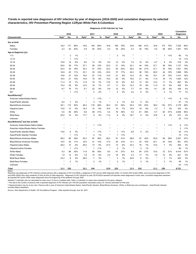**Trends in reported new diagnoses of HIV infection by year of diagnosis (2016-2020) and cumulative diagnoses by selected characteristics, HIV Prevention Planning Region 11/Ryan White Part A-Columbus** 

|                                              |                   |      |     |                   |                |     | <b>Plagnoses of the intection by Team</b> |                |       |                   |      |     |                   |                |         | <b>Cumulative</b> |         |
|----------------------------------------------|-------------------|------|-----|-------------------|----------------|-----|-------------------------------------------|----------------|-------|-------------------|------|-----|-------------------|----------------|---------|-------------------|---------|
|                                              |                   | 2016 |     |                   | 2017           |     |                                           | 2018           |       |                   | 2019 |     |                   | 2020           |         | <b>Diagnoses</b>  |         |
| <b>Characteristic</b>                        | Rate <sup>a</sup> | No.  | %   | Rate <sup>a</sup> | No.            | %   | Rate <sup>a</sup>                         | No.            | %     | Rate <sup>a</sup> | No.  | ℅   | Rate <sup>a</sup> | No.            | %       | No.               | %       |
| Sex at birth                                 |                   |      |     |                   |                |     |                                           |                |       |                   |      |     |                   |                |         |                   |         |
| Males                                        | 18.2              | 177  | 80% | 19.6              | 194            | 80% | 16.8                                      | 169            | 76%   | 18.6              | 188  | 81% | 16.8              | 172            | 75%     | 7,330             | 84%     |
| Females                                      | 4.3               | 43   | 20% | 4.9               | 50             | 20% | 5.2                                       | 54             | 24%   | 4.3               | 45   | 19% | 5.5               | 58             | 25%     | 1,391             | 16%     |
| Age at diagnosis (yr)                        |                   |      |     |                   |                |     |                                           |                |       |                   |      |     |                   |                |         |                   |         |
| < 13                                         | $\star$           | 2    | 1%  | $\star$           |                |     |                                           | 3              | 1%    |                   |      |     | $\star$           | 1              | 1%      | 60                | 1%      |
| $13 - 14$                                    |                   |      | 1%  | ×                 |                |     |                                           |                |       |                   |      |     |                   |                |         | 10                | 1%      |
| 15-19                                        | 10.8              | 14   | 6%  | 9.0               | 12             | 5%  | 9.0                                       | 12             | 5%    | 7.5               | 10   | 4%  | 6.7               | 9              | 4%      | 316               | 4%      |
| 20-24                                        | 29.0              | 38   | 17% | 27.1              | 36             | 15% | 23.2                                      | 31             | 14%   | 33.1              | 44   | 19% | 27.1              | 36             | 16%     | 1,137             | 13%     |
| 25-29                                        | 24.4              | 40   | 18% | 34.3              | 57             | 23% | 32.2                                      | 54             | 24%   | 29.2              | 48   | 21% | 27.1              | 44             | 19%     | 1,551             | 18%     |
| 30-34                                        | 16.9              | 25   | 11% | 23.1              | 35             | 14% | 23.5                                      | 37             | 17%   | 22.2              | 36   | 15% | 26.5              | 44             | 19%     | 1,656             | 19%     |
| 35-39                                        | 19.6              | 27   | 12% | 19.0              | 27             | 11% | 14.5                                      | 21             | 9%    | 12.2              | 18   | 8%  | 18.1              | 27             | 12%     | 1,413             | 16%     |
| 40-44                                        | 16.5              | 21   | 10% | 14.9              | 19             | 8%  | 15.5                                      | 20             | 9%    | 16.0              | 21   | 9%  | 11.9              | 16             | 7%      | 1,040             | 12%     |
| 45-49                                        | 11.3              | 15   | 7%  | 11.9              | 16             | 7%  | 13.5                                      | 18             | 8%    | 9.9               | 13   | 6%  | 13.2              | 17             | 7%      | 697               | 8%      |
| 50-54                                        | 15.4              | 20   | 9%  | 12.5              | 16             | 7%  | 8.7                                       | 11             | 5%    | 14.3              | 18   | 8%  | 11.0              | 14             | 6%      | 426               | 5%      |
| 55-64                                        | 6.7               | 16   | 7%  | 9.1               | 22             | 9%  | 4.9                                       | 12             | 5%    | 7.7               | 19   | 8%  | 8.1               | 20             | 9%      | 338               | 4%      |
| $65+$                                        | $\star$           |      | 1%  | $\star$           | $\overline{4}$ | 2%  | $^{\star}$                                | 4              | 2%    | 2.2               | 6    | 3%  | $\star$           | $\overline{2}$ | 1%      | 77                | 1%      |
| Race/Ethnicity <sup>b</sup>                  |                   |      |     |                   |                |     |                                           |                |       |                   |      |     |                   |                |         |                   |         |
| American Indian/Alaska Native                | $\star$           |      |     | $\star$           | -1             | 1%  | $\star$                                   |                |       | $\star$           |      |     | $\star$           | $\mathbf 1$    | 1%      | 8                 | 1%      |
| Asian/Pacific Islander                       | 8.4               |      | 3%  | ×                 | 3              | 1%  | $\star$                                   | $\overline{2}$ | 1%    | 4.9               | 5    | 2%  |                   |                |         | 57                | 1%      |
| Black/African-American                       | 35.1              | 110  | 50% | 36.3              | 118            | 48% | 36.2                                      | 121            | 54%   | 35.3              | 120  | 52% | 38.0              | 132            | 57%     | 3,178             | 36%     |
| Hispanic/Latinx                              | 15.9              | 13   | 6%  | 16.3              | 14             | 6%  | 16.5                                      | 15             | 7%    | 19.4              | 18   | 8%  | 7.2               | $\overline{7}$ | 3%      | 343               | 4%      |
| White                                        | 5.5               | 80   | 36% | 6.8               | 99             | 41% | 5.4                                       | 79             | 35%   | 5.5               | 81   | 35% | 5.7               | 84             | 37%     | 4,839             | 55%     |
| Multi-Race                                   | 20.4              | 10   | 5%  | 17.7              | 9              | 4%  | 11.4                                      | 6              | 3%    | 16.7              | 9    | 4%  | 10.6              | 6              | 3%      | 273               | 3%      |
| Unknown                                      |                   |      |     |                   |                |     |                                           |                |       |                   |      |     |                   |                |         | 23                | 1%      |
| Race/Ethnicity <sup>b</sup> and Sex at birth |                   |      |     |                   |                |     |                                           |                |       |                   |      |     |                   |                |         |                   |         |
| American Indian/Alaska Native Males          |                   |      |     | $\star$           | -1             | 1%  | $\star$                                   |                |       |                   |      |     |                   |                | $< 1\%$ | 6                 | 1%      |
| American Indian/Alaska Native Females        |                   |      |     |                   |                |     |                                           |                |       |                   |      |     |                   |                |         | 2                 | 1%      |
| Asian/Pacific Islander Males                 | 14.6              | 6    | 3%  | $\star$           | -1             | 1%  |                                           |                | 1%    | 9.9               | 5    | 2%  |                   |                |         | 42                | $< 1\%$ |
| Asian/Pacific Islander Females               |                   |      | 1%  | $\star$           | $\overline{2}$ | 1%  |                                           |                | $1\%$ | $\star$           |      |     |                   |                |         | 15                | 1%      |
| <b>Black/African-American Males</b>          | 56.2              | 85   | 39% | 55.3              | 87             | 36% | 56.2                                      | 91             | 41%   | 58.8              | 97   | 42% | 52.9              | 89             | 39%     | 2,327             | 27%     |

Black/African-American Females 15.4 25 11% 18.5 31 13% 17.5 30 13% 13.1 23 10% 24.1 43 19% 851 10% Hispanic/Latino Males 28.4 12 5% 29.2 13 5% 27.5 13 6% 33.3 16 7% 14.0 7 3% 293 3%

 $5\%$ <br><1%

White Males 9.3 66 30% 11.8 85 35% 8.5 61 27% 8.9 64 27% 10.0 72 31% 4,418 51% White Females 1.9 14 6% 1.9 14 6% 2.4 18 8% 2.3 17 7% 1.6 12 5% 421 5% Multi-Race Males 33.3 8 4% 28.0 7 3% \* 3 1% 22.6 6 3% \* 3 1% 225 3% Multi-Race Females \* 2 1% \* 2 1% \* 3 1% \* 3 1% \* 3 1% 48 1% Unknown \* - - \* - - \* - - \* - - \* - - 23

<1% \* 2 1% \* 2 1% \* - - 50 1%

1% <1%

**Diagnoses of HIV Infection by Year**

Reported new diagnoses of HIV infection include persons with a diagnosis of HIV (not AIDS), a diagnosis of HIV and an AIDS diagnosis within 12 months (HIV & later AIDS), and concurrent diagnoses of HIV and AIDS (AIDS) who were residents of Ohio at time of initial diagnosis. Diagnoses of HIV infection by year (2016-2020) represent all reported cases diagnosed in each year; cumulative diagnoses represent all reported HIV and/or AIDS cases diagnosed since the beginning of the epidemic through 2020.

**Total 11.1 220 12.1 244 10.9 223 11.3 233 11.1 230 8,721**

Asterisk (\*) indicates rate not calculated for case count <5 due to unstable rates. Dash (-) indicates no cases were reported for the given category.

a The rate is the number of persons with a reported diagnosis of HIV infection per 100,000 population calculated using U.S. Census estimates for that year.

5%

 $~1\%$  \* 1

**b Hispanics/Latinx may be of any race. Persons with a race of American Indian/Alaska Native, Asian/Pacific Islander, Black/African-American, White, or Multi-race are not-Hispanic. Asian/Pacific Islander** includes Native Hawaiians.

Source: Ohio Department of Health, HIV Surveillance Program. Data reported through June 30, 2021.

Hispanic/Latina Females **\*** 1

Notes: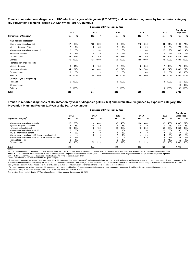**Trends in reported new diagnoses of HIV infection by year of diagnosis (2016-2020) and cumulative diagnoses by transmission category, HIV Prevention Planning Region 11/Ryan White Part A-Columbus**

|                                          |                | 2016 | 2017 |      | 2018                     |      | 2019           |      | 2020           |                          | <b>Cumulative</b><br><b>Diagnoses</b> |      |
|------------------------------------------|----------------|------|------|------|--------------------------|------|----------------|------|----------------|--------------------------|---------------------------------------|------|
| <b>Transmission Category<sup>®</sup></b> | No.            | %    | No.  | %    | No.                      | %    | No.            | %    | No.            | %                        | No.                                   | %    |
| Male adult or adolescent                 |                |      |      |      |                          |      |                |      |                |                          |                                       |      |
| Male-to-male sexual contact              | 117            | 66%  | 120  | 62%  | 110                      | 65%  | 112            | 60%  | 104            | 61%                      | 5,191                                 | 71%  |
| Injection drug use (IDU)                 | 7              | 4%   | 9    | 5%   | 6                        | 4%   | 3              | 2%   | 9              | 5%                       | 273                                   | 4%   |
| Male-to-male sexual contact and IDU      | 8              | 5%   | 9    | 5%   | 10                       | 6%   | 12             | 6%   | 16             | 9%                       | 309                                   | 4%   |
| Heterosexual contact                     | 6              | 3%   | 5    | 3%   | 6                        | 4%   | 12             | 6%   | 9              | 5%                       | 313                                   | 4%   |
| Other/unknown                            | 38             | 22%  | 51   | 26%  | 36                       | 21%  | 49             | 26%  | 33             | 19%                      | 1,215                                 | 17%  |
| Subtotal                                 | 176            | 100% | 194  | 100% | 168                      | 100% | 188            | 100% | 171            | 100%                     | 7,301                                 | 100% |
| Female adult or adolescent               |                |      |      |      |                          |      |                |      |                |                          |                                       |      |
| Injection drug use                       | 6              | 14%  | 9    | 18%  | 12                       | 23%  | 9              | 20%  | 7              | 12%                      | 175                                   | 13%  |
| Heterosexual contact                     | 34             | 81%  | 40   | 80%  | 37                       | 71%  | 34             | 76%  | 49             | 84%                      | 1,040                                 | 77%  |
| Other/unknown                            | 2              | 5%   |      | 2%   | 3                        | 6%   | $\overline{2}$ | 4%   | $\overline{2}$ | 3%                       | 142                                   | 10%  |
| Subtotal                                 | 42             | 100% | 50   | 100% | 52                       | 100% | 45             | 100% | 58             | 100%                     | 1,357                                 | 100% |
| Child (<13 yrs at diagnosis)             |                |      |      |      |                          |      |                |      |                |                          |                                       |      |
| Perinatal                                | $\overline{2}$ | 100% |      |      | 3                        | 100% |                |      |                | 1 100%                   | 52                                    | 83%  |
| Other/unknown                            |                |      |      |      | $\overline{\phantom{a}}$ |      |                |      | ۰              | $\overline{\phantom{a}}$ | 11                                    | 17%  |
| Subtotal                                 | 2              | 100% |      |      | 3                        | 100% |                |      |                | 1 100%                   | 63                                    | 100% |
| Total                                    | 220            |      | 244  |      | 223                      |      | 233            |      | 230            |                          | 8,721                                 |      |

**Diagnoses of HIV Infection by Year**

**Trends in reported diagnoses of HIV infection by year of diagnosis (2016-2020) and cumulative diagnoses by exposure category, HIV Prevention Planning Region 11/Ryan White Part A-Columbus**

#### **Diagnoses of HIV Infection by Year**

|                                                          | 2016 |       | 2017 |     | 2018                     |                          | 2019                     |       | 2020 |         | <b>Cumulative</b><br><b>Diagnoses</b> |     |
|----------------------------------------------------------|------|-------|------|-----|--------------------------|--------------------------|--------------------------|-------|------|---------|---------------------------------------|-----|
| <b>Exposure Category</b>                                 | No.  | %     | No.  | %   | No.                      | %                        | No.                      | %     | No.  | %       | No.                                   | %   |
| Male-to-male sexual contact only                         | 117  | 53%   | 118  | 48% | 107                      | 48%                      | 108                      | 46%   | 100  | 43%     | 4,995                                 | 57% |
| Injection drug use (IDU) only                            |      | 3%    | 10   | 4%  |                          | 3%                       |                          | 2%    | 9    | 4%      | 271                                   | 3%  |
| Heterosexual contact only                                | 40   | 18%   | 45   | 18% | 43                       | 19%                      | 46                       | 20%   | 58   | 25%     | 1.353                                 | 16% |
| Male-to-male sexual contact & IDU                        |      | 3%    |      | 3%  | 10                       | 4%                       | 11                       | 5%    | 13   | 6%      | 265                                   | 3%  |
| IDU & Heterosexual contact                               |      | 3%    | 8    | 3%  | 11                       | 5%                       | 8                        | 3%    |      | 3%      | 177                                   | 2%  |
| Male-to-male sexual contact & Heterosexual contact       |      |       |      | 1%  | ⌒<br>۰.                  | $1\%$                    |                          | 2%    | 4    | 2%      | 196                                   | 2%  |
| Male-to-male sexual contact & IDU & Heterosexual contact |      | $1\%$ |      | 1%  | $\overline{\phantom{0}}$ | $\overline{\phantom{0}}$ |                          | $1\%$ |      | 1%      | 44                                    | 1%  |
| Perinatal exposure                                       |      | 1%    |      |     | 3                        | 1%                       | $\overline{\phantom{0}}$ |       |      | $< 1\%$ | 55                                    | 1%  |
| Other/unknown                                            | 39   | 18%   | 52   | 21% | 39                       | 17%                      | 51                       | 22%   | 35   | 15%     | i, 365                                | 16% |
| <b>Total</b><br>$\sim$ $\sim$                            | 220  |       | 244  |     | 223                      |                          | 233                      |       | 230  |         | 8,721                                 |     |

Notes:<br>Reported new diagnoses of HIV infection include persons with a diagnosis of HIV (not AIDS), a diagnosis addignosis of HIDS diagnosis within 12 months (HIV & later AIDS), and concurrent diagnoses of HIV and AIDS (AIDS) who were residents of Ohio at time of initial diagnosis. Diagnoses of HIV infection by year (2016-2020) represent all reported cases diagnosed in each year; cumulative diagnoses represent

all reported HIV and/or AIDS cases diagnosed since the beginning of the epidemic through 2020.<br>Dash (-) indicates no cases were reported for the given category.

a Transmission categories are mutually exclusive, hierarchical risk categories determined by the CDC and system-calculated using sex at birth and risk factor history to determine mode of transmission. A person with multipl is only represented in the highest category based on the CDC hierarchical algorithm. Thus, transgender women are included in the male-to-male sexual contact transmission category if assigned male at birth and risk factor history indicates sex with males. Please note this is for the categorization of HIV transmission categories only and not to describe sexual orientation.

<sup>b</sup> Exposure categories are mutually exclusive risk categories. All possible combinations of risks are represented among exposure categories. A person with multiple risks is represented in the exposure

category identifying all the reported ways in which that person may have been exposed to HIV.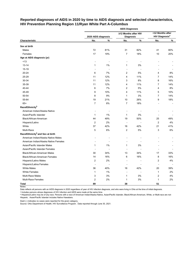# **Reported diagnoses of AIDS in 2020 by time to AIDS diagnosis and selected characteristics, HIV Prevention Planning Region 11/Ryan White Part A-Columbus**

|                                              | <b>AIDS Diagnoses</b> |       |                          |                |                                  |       |  |  |  |  |
|----------------------------------------------|-----------------------|-------|--------------------------|----------------|----------------------------------|-------|--|--|--|--|
|                                              |                       |       | ≥12 Months after HIV     |                | <12 Months after                 |       |  |  |  |  |
|                                              | 2020 AIDS diagnosis   |       | <b>Diagnosis</b>         |                | <b>HIV Diagnosis<sup>a</sup></b> |       |  |  |  |  |
| Characteristic                               | No.                   | $\%$  | No.                      | $\%$           | No.                              | %     |  |  |  |  |
| Sex at birth                                 |                       |       |                          |                |                                  |       |  |  |  |  |
| Males                                        | 72                    | 81%   | 31                       | 82%            | 41                               | 80%   |  |  |  |  |
| Females                                      | 17                    | 19%   | $\overline{7}$           | 18%            | 10                               | 20%   |  |  |  |  |
| Age at AIDS diagnosis (yr)                   |                       |       |                          |                |                                  |       |  |  |  |  |
| ~13                                          | ٠                     |       | $\blacksquare$           |                |                                  |       |  |  |  |  |
| $13 - 14$                                    | $\mathbf{1}$          | 1%    | 1                        | 3%             |                                  |       |  |  |  |  |
| 15-19                                        | $\blacksquare$        |       | $\overline{\phantom{a}}$ |                |                                  |       |  |  |  |  |
| 20-24                                        | 6                     | 7%    | 2                        | 5%             | 4                                | 8%    |  |  |  |  |
| 25-29                                        | 11                    | 12%   | 4                        | 11%            | 7                                | 14%   |  |  |  |  |
| 30-34                                        | 11                    | 12%   | 3                        | 8%             | 8                                | 16%   |  |  |  |  |
| 35-39                                        | 11                    | 12%   | $\overline{4}$           | 11%            | $\overline{7}$                   | 14%   |  |  |  |  |
| 40-44                                        | 6                     | 7%    | 2                        | 5%             | 4                                | $8\%$ |  |  |  |  |
| 45-49                                        | 9                     | 10%   | 4                        | 11%            | 5                                | 10%   |  |  |  |  |
| 50-54                                        | 8                     | 9%    | $\mathbf{1}$             | 3%             | 7                                | 14%   |  |  |  |  |
| 55-64                                        | 19                    | 21%   | 10                       | 26%            | 9                                | 18%   |  |  |  |  |
| $65+$                                        | $\overline{7}$        | $8\%$ | $\overline{7}$           | 18%            |                                  |       |  |  |  |  |
| Race/Ethnicity <sup>b</sup>                  |                       |       |                          |                |                                  |       |  |  |  |  |
| American Indian/Alaska Native                | ٠                     |       | $\overline{\phantom{a}}$ |                |                                  |       |  |  |  |  |
| Asian/Pacific Islander                       | $\mathbf{1}$          | 1%    | 1                        | 3%             |                                  |       |  |  |  |  |
| Black/African-American                       | 44                    | 49%   | 19                       | 50%            | 25                               | 49%   |  |  |  |  |
| Hispanic/Latinx                              | $\overline{c}$        | 2%    | $\overline{\phantom{a}}$ | $\overline{a}$ | $\overline{2}$                   | 4%    |  |  |  |  |
| White                                        | 37                    | 42%   | 16                       | 42%            | 21                               | 41%   |  |  |  |  |
| Multi-Race                                   | 5                     | 6%    | 2                        | 5%             | 3                                | 6%    |  |  |  |  |
| Race/Ethnicity <sup>b</sup> and Sex at birth |                       |       |                          |                |                                  |       |  |  |  |  |
| American Indian/Alaska Native Males          |                       |       |                          |                |                                  |       |  |  |  |  |
| American Indian/Alaska Native Females        |                       |       |                          |                |                                  |       |  |  |  |  |
| Asian/Pacific Islander Males                 | 1                     | 1%    | $\mathbf{1}$             | 3%             |                                  |       |  |  |  |  |
| Asian/Pacific Islander Females               |                       |       |                          |                |                                  |       |  |  |  |  |
| <b>Black/African-American Males</b>          | 30                    | 34%   | 13                       | 34%            | 17                               | 33%   |  |  |  |  |
| Black/African-American Females               | 14                    | 16%   | 6                        | 16%            | 8                                | 16%   |  |  |  |  |
| Hispanic/Latino Males                        | 2                     | $2\%$ |                          |                | $\overline{\mathbf{c}}$          | 4%    |  |  |  |  |
| Hispanic/Latina Females                      | ÷,                    |       |                          |                |                                  |       |  |  |  |  |
| <b>White Males</b>                           | 36                    | 40%   | 16                       | 42%            | $20\,$                           | 39%   |  |  |  |  |
| <b>White Females</b>                         | $\mathbf{1}$          | 1%    |                          |                | $\mathbf{1}$                     | 2%    |  |  |  |  |
| Multi-Race Males                             | 3                     | $3%$  | 1                        | 3%             | $\overline{\mathbf{c}}$          | 4%    |  |  |  |  |
| Multi-Race Females                           | 2                     | $2\%$ | 1                        | $3\%$          | 1                                | $2\%$ |  |  |  |  |
| Total                                        | 89                    |       | 38                       |                | 51                               |       |  |  |  |  |

Notes:

Data reflects all persons with an AIDS diagnosis in 2020 regardless of year of HIV infection diagnosis, and who were living in Ohio at the time of initial diagnosis.

a Includes persons whose diagnoses of HIV infection and AIDS were made at the same time.

**b Hispanics/Latinx may be of any race. Persons with a race of American Indian/Alaska Native, Asian/Pacific Islander, Black/African-American, White, or Multi-race are not-**Hispanic. Asian/Pacific Islander includes Native Hawaiians.

Dash (-) indicates no cases were reported for the given category.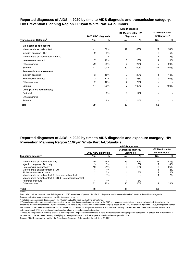|                                           |                     |      | <b>AIDS Diagnoses</b>                    |               |                                                      |      |
|-------------------------------------------|---------------------|------|------------------------------------------|---------------|------------------------------------------------------|------|
|                                           | 2020 AIDS diagnosis |      | ≥12 Months after HIV<br><b>Diagnosis</b> |               | <12 Months after<br><b>HIV Diagnosis<sup>a</sup></b> |      |
| <b>Transmission Category</b> <sup>b</sup> | No.                 | %    | No.                                      | $\frac{0}{0}$ | No.                                                  | %    |
| Male adult or adolescent                  |                     |      |                                          |               |                                                      |      |
| Male-to-male sexual contact               | 41                  | 58%  | 19                                       | 63%           | 22                                                   | 54%  |
| Injection drug use (IDU)                  | 2                   | 3%   | $\blacksquare$                           |               | 2                                                    | 5%   |
| Male-to-male sexual contact and IDU       | $\mathbf{1}$        | 1%   | $\overline{\phantom{a}}$                 |               | 1                                                    | 2%   |
| Heterosexual contact                      | 7                   | 10%  | 3                                        | 10%           | 4                                                    | 10%  |
| Other/unknown                             | 20                  | 28%  | 8                                        | 27%           | 12                                                   | 29%  |
| Subtotal                                  | 71                  | 100% | 30                                       | 100%          | 41                                                   | 100% |
| Female adult or adolescent                |                     |      |                                          |               |                                                      |      |
| Injection drug use                        | 3                   | 18%  | 2                                        | 29%           | 1                                                    | 10%  |
| Heterosexual contact                      | 12                  | 71%  | 3                                        | 43%           | 9                                                    | 90%  |
| Other/unknown                             | $\overline{2}$      | 12%  | 2                                        | 29%           | ٠                                                    |      |
| Subtotal                                  | 17                  | 100% | 7                                        | 100%          | 10                                                   | 100% |
| Child (<13 yrs at diagnosis)              |                     |      |                                          |               |                                                      |      |
| Perinatal                                 | 1                   | 6%   | $\mathbf{1}$                             | 14%           |                                                      |      |
| Other/unknown                             |                     |      |                                          |               |                                                      |      |
| Subtotal                                  |                     | 6%   | 1                                        | 14%           |                                                      |      |
| <b>Total</b>                              | 89                  |      | 38                                       |               | 51                                                   |      |

# **Reported diagnoses of AIDS in 2020 by time to AIDS diagnosis and transmission category, HIV Prevention Planning Region 11/Ryan White Part A-Columbus**

# **Reported diagnoses of AIDS in 2020 by time to AIDS diagnosis and exposure category, HIV Prevention Planning Region 11/Ryan White Part A-Columbus**

|                                                          |                     |     | <b>AIDS Diagnoses</b>                   |     |                                                      |     |  |
|----------------------------------------------------------|---------------------|-----|-----------------------------------------|-----|------------------------------------------------------|-----|--|
|                                                          | 2020 AIDS diagnosis |     | ≥12Months after HIV<br><b>Diagnosis</b> |     | <12 Months after<br><b>HIV Diagnosis<sup>a</sup></b> |     |  |
| <b>Exposure Category</b> <sup>c</sup>                    | No.                 | %   | No.                                     | %   | No.                                                  | %   |  |
| Male-to-male sexual contact only                         | 40                  | 45% | 19                                      | 50% | 21                                                   | 41% |  |
| Injection drug use (IDU) only                            |                     | 3%  |                                         | 3%  | າ                                                    | 4%  |  |
| Heterosexual contact only                                | 19                  | 21% | 6                                       | 16% | 13                                                   | 25% |  |
| Male-to-male sexual contact & IDU                        |                     | 1%  |                                         |     |                                                      | 2%  |  |
| IDU & Heterosexual contact                               |                     | 2%  |                                         | 3%  |                                                      | 2%  |  |
| Male-to-male sexual contact & Heterosexual contact       |                     | 1%  |                                         |     |                                                      | 2%  |  |
| Male-to-male sexual contact & IDU & Heterosexual contact |                     |     |                                         |     |                                                      |     |  |
| Perinatal exposure                                       |                     | 1%  |                                         | 3%  |                                                      |     |  |
| Other/unknown                                            | 22                  | 25% | 10                                      | 26% | 12                                                   | 24% |  |
| <b>Total</b>                                             | 89                  |     | 38                                      |     | 51                                                   |     |  |

Notes:

Data reflects all persons with an AIDS diagnosis in 2020 regardless of year of HIV infection diagnosis, and who were living in Ohio at the time of initial diagnosis.

Dash (-) indicates no cases were reported for the given category.

a Includes persons whose diagnoses of HIV infection and AIDS were made at the same time.

**b** Transmission categories are mutually exclusive, hierarchical risk categories determined by the CDC and system-calculated using sex at birth and risk factor history to determine mode of transmission. A person with multiple risks is only represented in the highest category based on the CDC hierarchical algorithm. Thus, transgender women are included in the male-to-male sexual contact transmission category if assigned male at birth and risk factor history indicates sex with males. Please note this is for the categorization of HIV transmission categories only and not to describe sexual orientation.

ᶜ Exposure categories are mutually exclusive risk categories. All possible combinations of risks are represented among exposure categories. A person with multiple risks is represented in the exposure category identifying all the reported ways in which that person may have been exposed to HIV.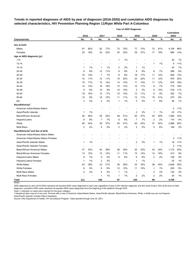# **Trends in reported diagnoses of AIDS by year of diagnosis (2016-2020) and cumulative AIDS diagnoses by selected characteristics, HIV Prevention Planning Region 11/Ryan White Part A-Columbus**

|                                              |      |                          |                |      |                          | <b>Year of AIDS Diagnosis</b> |                          |                          |                          |                          |                                  |         |
|----------------------------------------------|------|--------------------------|----------------|------|--------------------------|-------------------------------|--------------------------|--------------------------|--------------------------|--------------------------|----------------------------------|---------|
|                                              | 2016 |                          | 2017           |      | 2018                     |                               | 2019                     |                          | 2020                     |                          | <b>Cumulative</b><br><b>AIDS</b> |         |
| <b>Characteristic</b>                        | No.  | $\%$                     | No.            | $\%$ | No.                      | $\%$                          | No.                      | $\%$                     | No.                      | $\%$                     | No.                              | $\%$    |
| Sex at birth                                 |      |                          |                |      |                          |                               |                          |                          |                          |                          |                                  |         |
| Males                                        | 91   | 82%                      | 82             | 77%  | 73                       | 75%                           | 77                       | 73%                      | 72                       | 81%                      | 4,109                            | 86%     |
| Females                                      | 20   | 18%                      | 24             | 23%  | 24                       | 25%                           | 29                       | 27%                      | 17                       | 19%                      | 686                              | 14%     |
| Age at AIDS diagnosis (yr)                   |      |                          |                |      |                          |                               |                          |                          |                          |                          |                                  |         |
| < 13                                         |      |                          |                |      | 1                        | 1%                            |                          |                          |                          |                          | 24                               | 1%      |
| $13 - 14$                                    |      |                          |                |      | $\overline{a}$           | $\overline{\phantom{a}}$      | $\overline{a}$           | $\overline{a}$           | 1                        | 1%                       | 5                                | 1%      |
| 15-19                                        | 1    | 1%                       | 1              | 1%   | 3                        | 3%                            | 1                        | 1%                       | $\overline{\phantom{a}}$ |                          | 44                               | 1%      |
| $20 - 24$                                    | 9    | 8%                       | 12             | 11%  | 8                        | 8%                            | 9                        | 8%                       | 6                        | 7%                       | 286                              | 6%      |
| 25-29                                        | 16   | 14%                      | 7              | 7%   | 8                        | 8%                            | 18                       | 17%                      | 11                       | 12%                      | 626                              | 13%     |
| 30-34                                        | 12   | 11%                      | 12             | 11%  | 19                       | 20%                           | 23                       | 22%                      | 11                       | 12%                      | 979                              | 20%     |
| 35-39                                        | 19   | 17%                      | 15             | 14%  | 14                       | 14%                           | 11                       | 10%                      | 11                       | 12%                      | 878                              | 18%     |
| 40-44                                        | 14   | 13%                      | 19             | 18%  | 12                       | 12%                           | 12                       | 11%                      | 6                        | 7%                       | 775                              | 16%     |
| 45-49                                        | 9    | 8%                       | 10             | 9%   | 10                       | 10%                           | 5                        | 5%                       | 9                        | 10%                      | 518                              | 11%     |
| 50-54                                        | 18   | 16%                      | 12             | 11%  | 10                       | 10%                           | 12                       | 11%                      | 8                        | 9%                       | 342                              | 7%      |
| 55-64                                        | 10   | 9%                       | 16             | 15%  | 11                       | 11%                           | 12                       | 11%                      | 19                       | 21%                      | 270                              | 6%      |
| $65+$                                        | 3    | 3%                       | 2              | 2%   | $\mathbf{1}$             | 1%                            | 3                        | 3%                       | 7                        | 8%                       | 48                               | 1%      |
| Race/Ethnicity <sup>a</sup>                  |      |                          |                |      |                          |                               |                          |                          |                          |                          |                                  |         |
| American Indian/Alaska Native                |      |                          |                |      |                          |                               | $\overline{\phantom{a}}$ |                          |                          |                          | 2                                | 1%      |
| Asian/Pacific Islander                       | 1    | 1%                       |                |      |                          |                               | $\overline{2}$           | 2%                       | $\mathbf{1}$             | 1%                       | 20                               | $< 1\%$ |
| Black/African-American                       | 50   | 45%                      | 55             | 52%  | 49                       | 51%                           | 50                       | 47%                      | 44                       | 49%                      | 1,585                            | 33%     |
| Hispanic/Latinx                              | 9    | 8%                       | 7              | 7%   | 6                        | 6%                            | $\overline{7}$           | 7%                       | 2                        | 2%                       | 174                              | 4%      |
| White                                        | 49   | 44%                      | 39             | 37%  | 40                       | 41%                           | 45                       | 42%                      | 37                       | 42%                      | 2,868                            | 60%     |
| Multi-Race                                   | 2    | 2%                       | 5              | 5%   | $\overline{c}$           | 2%                            | 2                        | 2%                       | 5                        | 6%                       | 146                              | 3%      |
| Race/Ethnicity <sup>a</sup> and Sex at birth |      |                          |                |      |                          |                               |                          |                          |                          |                          |                                  |         |
| American Indian/Alaska Native Males          |      |                          |                |      |                          |                               |                          |                          |                          |                          |                                  |         |
| American Indian/Alaska Native Females        |      |                          |                |      |                          |                               |                          |                          |                          | ۰                        | 2                                | 1%      |
| Asian/Pacific Islander Males                 | 1    | 1%                       |                |      |                          | $\overline{\phantom{a}}$      | $\overline{2}$           | 2%                       | $\mathbf{1}$             | 1%                       | 18                               | 1%      |
| Asian/Pacific Islander Females               |      |                          | $\overline{a}$ |      |                          |                               | $\overline{a}$           | $\overline{\phantom{a}}$ | $\overline{\phantom{a}}$ | ÷                        | 2                                | $< 1\%$ |
| <b>Black/African-American Males</b>          | 37   | 33%                      | 40             | 38%  | 38                       | 39%                           | 35                       | 33%                      | 30                       | 34%                      | 1,172                            | 24%     |
| Black/African-American Females               | 13   | 12%                      | 15             | 14%  | 11                       | 11%                           | 15                       | 14%                      | 14                       | 16%                      | 413                              | 9%      |
| Hispanic/Latino Males                        | 8    | 7%                       | 5              | 5%   | 6                        | 6%                            | 6                        | 6%                       | 2                        | 2%                       | 149                              | 3%      |
| Hispanic/Latina Females                      | 1    | 1%                       | 2              | 2%   | $\overline{\phantom{a}}$ |                               | $\mathbf 1$              | 1%                       | $\overline{\phantom{a}}$ | $\overline{\phantom{a}}$ | 25                               | 1%      |
| <b>White Males</b>                           | 43   | 39%                      | 33             | 31%  | 28                       | 29%                           | 34                       | 32%                      | 36                       | 40%                      | 2,648                            | 55%     |
| <b>White Females</b>                         | 6    | 5%                       | 6              | 6%   | 12                       | 12%                           | 11                       | 10%                      | 1                        | 1%                       | 220                              | $5\%$   |
| Multi-Race Males                             | 2    | 2%                       | 4              | 4%   | $\mathbf 1$              | 1%                            | $\overline{\phantom{a}}$ |                          | 3                        | 3%                       | 122                              | $3%$    |
| Multi-Race Females                           |      | $\overline{\phantom{a}}$ | 1              | 1%   | 1                        | $1\%$                         | $\boldsymbol{2}$         | $2\%$                    | 2                        | 2%                       | 24                               | 1%      |
| <b>Total</b>                                 | 111  |                          | 106            |      | 97                       |                               | 106                      |                          | 89                       |                          | 4,795                            |         |

Notes:

AIDS diagnoses by year (2016-2020) represent all reported AIDS cases diagnosed in each year regardless of year of HIV infection diagnosis, and who were living in Ohio at the time of initial diagnosis; cumulative AIDS cases represent all reported AIDS cases diagnosed since the beginning of the epidemic through 2020.

Dash (-) indicates no cases were reported for the given category.

ª Hispanics/Latinx may be of any race. Persons with a race of American Indian/Alaska Native, Asian/Pacific Islander, Black/African-American, White, or Multi-race are not-Hispanic. Asian/Pacific Islander includes Native Hawaiians.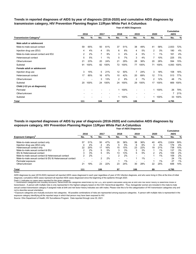# **Trends in reported diagnoses of AIDS by year of diagnosis (2016-2020) and cumulative AIDS diagnoses by transmission category, HIV Prevention Planning Region 11/Ryan White Part A-Columbus**

**Year of AIDS Diagnosis**

|                                          | 2016 |      | 2017           |                | 2018 |      | 2019           |      | 2020           |       | Cumulative<br><b>AIDS</b> |      |
|------------------------------------------|------|------|----------------|----------------|------|------|----------------|------|----------------|-------|---------------------------|------|
| <b>Transmission Category<sup>a</sup></b> | No.  | %    | No.            | %              | No.  | %    | No.            | %    | No.            | %     | No.                       | %    |
| Male adult or adolescent                 |      |      |                |                |      |      |                |      |                |       |                           |      |
| Male-to-male sexual contact              | 59   | 65%  | 50             | 61%            | 37   | 51%  | 38             | 49%  | 41             | 58%   | 2,933                     | 72%  |
| Injection drug use (IDU)                 | 4    | 4%   | 4              | 5%             | 6    | 8%   | 4              | 5%   | $\overline{2}$ | 3%    | 180                       | 4%   |
| Male-to-male sexual contact and IDU      | 2    | 2%   | $\overline{7}$ | 9%             | 3    | 4%   | 4              | 5%   | 1              | $1\%$ | 161                       | 4%   |
| Heterosexual contact                     | 5    | 5%   | 1              | 1%             | 5    | 7%   | 3              | 4%   | $\overline{7}$ | 10%   | 225                       | 5%   |
| Other/unknown                            | 21   | 23%  | 20             | 24%            | 21   | 29%  | 28             | 36%  | 20             | 28%   | 594                       | 15%  |
| Subtotal                                 | 91   | 100% | 82             | 100%           | 72   | 100% | 77             | 100% | 71             | 100%  | 4,093                     | 100% |
| Female adult or adolescent               |      |      |                |                |      |      |                |      |                |       |                           |      |
| Injection drug use                       | 3    | 15%  | 5              | 21%            | 12   | 50%  | $\overline{7}$ | 24%  | 3              | 18%   | 108                       | 16%  |
| Heterosexual contact                     | 17   | 85%  | 16             | 67%            | 10   | 42%  | 20             | 69%  | 12             | 71%   | 513                       | 77%  |
| Other/unknown                            |      |      | 3              | 13%            | 2    | 8%   | 2              | 7%   | 2              | 12%   | 48                        | 7%   |
| Subtotal                                 | 20   | 100% | 24             | 100%           | 24   | 100% | 29             | 100% | 17             | 100%  | 669                       | 100% |
| Child (<13 yrs at diagnosis)             |      |      |                |                |      |      |                |      |                |       |                           |      |
| Perinatal                                |      |      |                |                |      | 100% |                |      |                | 100%  | 26                        | 79%  |
| Other/unknown                            |      |      |                | $\blacksquare$ |      |      | $\blacksquare$ |      |                |       | $\overline{7}$            | 21%  |
| Subtotal                                 |      |      |                | ۰              |      | 100% |                |      | 1              | 100%  | 33                        | 100% |
| <b>Total</b>                             | 111  |      | 106            |                | 97   |      | 106            |      | 89             |       | 4,795                     |      |

## **Year of AIDS Diagnosis Trends in reported diagnoses of AIDS by year of diagnosis (2016-2020) and cumulative AIDS diagnoses by exposure category, HIV Prevention Planning Region 11/Ryan White Part A-Columbus**

|                                                          | 2016<br>2017<br>2018     |     |                          |                          |     | 2019<br>2020 |                          |                          | <b>Cumulative</b><br><b>AIDS</b> |       |       |     |
|----------------------------------------------------------|--------------------------|-----|--------------------------|--------------------------|-----|--------------|--------------------------|--------------------------|----------------------------------|-------|-------|-----|
| <b>Exposure Category</b> <sup>p</sup>                    | No.                      | %   | No.                      | %                        | No. | %            | No.                      | %                        | No.                              | %     | No.   | %   |
| Male-to-male sexual contact only                         | 57                       | 51% | 50                       | 47%                      | 35  | 36%          | 38                       | 36%                      | 40                               | 45%   | 2,824 | 59% |
| Injection drug use (IDU) only                            | 4                        | 4%  | 4                        | 4%                       | 5   | 5%           | 6                        | 6%                       | 3                                | 3%    | 179   | 4%  |
| Heterosexual contact only                                | 22                       | 20% | 17                       | 16%                      | 15  | 15%          | 23                       | 22%                      | 19                               | 21%   | 738   | 15% |
| Male-to-male sexual contact & IDU                        | 2                        | 2%  | 5                        | 5%                       | 3   | 3%           | 3                        | 3%                       |                                  | $1\%$ | 137   | 3%  |
| IDU & Heterosexual contact                               | 3                        | 3%  | 5                        | 5%                       | 13  | 13%          | 5                        | 5%                       | 2                                | 2%    | 109   | 2%  |
| Male-to-male sexual contact & Heterosexual contact       | $\mathcal{P}$            | 2%  | $\overline{\phantom{0}}$ | $\overline{\phantom{0}}$ | 2   | 2%           | $\blacksquare$           | $\overline{\phantom{0}}$ |                                  | 1%    | 109   | 2%  |
| Male-to-male sexual contact & IDU & Heterosexual contact |                          |     | 2                        | 2%                       |     |              |                          | $1\%$                    | $\blacksquare$                   |       | 24    | 1%  |
| Perinatal exposure                                       | $\overline{\phantom{0}}$ |     | $\overline{\phantom{0}}$ | $\overline{\phantom{0}}$ |     | 1%           | $\overline{\phantom{0}}$ | $\overline{\phantom{0}}$ |                                  | 1%    | 27    | 1%  |
| Other/unknown                                            | 21                       | 19% | 23                       | 22%                      | 23  | 24%          | 30                       | 28%                      | 22                               | 25%   | 648   | 14% |
| <b>Total</b>                                             | 111                      |     | 106                      |                          | 97  |              | 106                      |                          | 89                               |       | 4,795 |     |
| Notes:                                                   |                          |     |                          |                          |     |              |                          |                          |                                  |       |       |     |

AIDS diagnoses by year (2016-2020) represent all reported AIDS cases diagnosed in each year regardless of year of HIV infection diagnosis, and who were living in Ohio at the time of initial diagnosis; cumulative AIDS cases represent all reported AIDS cases diagnosed since the beginning of the epidemic through 2020.

Dash (-) indicates no cases were reported for the given category.<br>ब Transmission categories are mutually exclusive, nierarcnical risk categories determined by the CDC and system-calculated using sex at birth and risk fact transmission. A person with multiple risks is only represented in the highest category based on the CDC hierarchical algorithm. Thus, transgender women are included in the male-to-male sexual contact transmission category if assigned male at birth and risk factor history indicates sex with males. Please note this is for the categorization of HIV transmission categories only and not to describe sexual orientation.

**b** Exposure categories are mutually exclusive risk categories. All possible combinations of risks are represented among exposure categories. A person with multiple risks is represented in the exposure category identifying all the reported ways in which that person may have been exposed to HIV.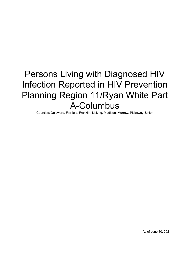# Persons Living with Diagnosed HIV Infection Reported in HIV Prevention Planning Region 11/Ryan White Part A-Columbus

Counties: Delaware, Fairfield, Franklin, Licking, Madison, Morrow, Pickaway, Union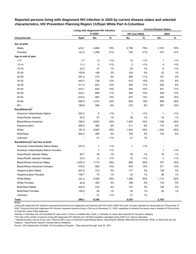|                                              |                   | Living with diagnosed HIV infection |         |                       |                | <b>Current Disease Status</b> |       |
|----------------------------------------------|-------------------|-------------------------------------|---------|-----------------------|----------------|-------------------------------|-------|
|                                              |                   | in 2020                             |         | <b>HIV (not AIDS)</b> |                | <b>AIDS</b>                   |       |
| Characteristic                               | Rate <sup>a</sup> | No.                                 | $\%$    | No.                   | $\%$           | No.                           | $\%$  |
| Sex at birth                                 |                   |                                     |         |                       |                |                               |       |
| Males                                        | 478.7             | 4,889                               | 79%     | 2,708                 | 79%            | 2,181                         | 79%   |
| Females                                      | 123.0             | 1,296                               | 21%     | 724                   | 21%            | 572                           | 21%   |
| Age at end of year                           |                   |                                     |         |                       |                |                               |       |
| < 13                                         | 3.7               | 13                                  | 1%      | 12                    | 1%             | 1                             | 1%    |
| $13 - 14$                                    | 11.3              | 6                                   | $< 1\%$ | 2                     | $1\%$          | 4                             | 1%    |
| $15 - 19$                                    | 23.2              | 31                                  | 1%      | 25                    | 1%             | 6                             | 1%    |
| 20-24                                        | 109.8             | 146                                 | 2%      | 124                   | 4%             | 22                            | 1%    |
| 25-29                                        | 291.5             | 473                                 | 8%      | 366                   | 11%            | 107                           | 4%    |
| 30-34                                        | 445.3             | 738                                 | 12%     | 515                   | 15%            | 223                           | 8%    |
| 35-39                                        | 417.2             | 623                                 | 10%     | 394                   | 11%            | 229                           | 8%    |
| 40-44                                        | 479.1             | 645                                 | 10%     | 344                   | 10%            | 301                           | 11%   |
| 45-49                                        | 533.7             | 689                                 | 11%     | 340                   | 10%            | 349                           | 13%   |
| 50-54                                        | 679.0             | 863                                 | 14%     | 427                   | 12%            | 436                           | 16%   |
| 55-64                                        | 595.0             | 1,472                               | 24%     | 664                   | 19%            | 808                           | 29%   |
| $65+$                                        | 168.9             | 486                                 | 8%      | 219                   | 6%             | 267                           | 10%   |
| Race/Ethnicity <sup>b</sup>                  |                   |                                     |         |                       |                |                               |       |
| American Indian/Alaska Native                | 203.0             | 8                                   | $< 1\%$ | 7                     | 1%             | 1                             | $1\%$ |
| Asian/Pacific Islander                       | 52.5              | 57                                  | 1%      | 38                    | 1%             | 19                            | 1%    |
| Black/African-American                       | 756.0             | 2,623                               | 42%     | 1,465                 | 43%            | 1,158                         | 42%   |
| Hispanic/Latinx                              | 395.9             | 385                                 | 6%      | 211                   | 6%             | 174                           | 6%    |
| White                                        | 191.8             | 2,803                               | 45%     | 1,554                 | 45%            | 1,249                         | 45%   |
| Multi-Race                                   | 509.3             | 288                                 | 5%      | 136                   | 4%             | 152                           | 6%    |
| Unknown                                      | $\star$           | 21                                  | $< 1\%$ | 21                    | 1%             |                               |       |
| Race/Ethnicity <sup>b</sup> and Sex at birth |                   |                                     |         |                       |                |                               |       |
| American Indian/Alaska Native Males          | 357.0             | 7                                   | 1%      | 7                     | $< 1\%$        |                               |       |
| American Indian/Alaska Native Females        |                   | $\mathbf{1}$                        | $1\%$   |                       | $\overline{a}$ | 1                             | $1\%$ |
| Asian/Pacific Islander Males                 | 82.7              | 44                                  | 1%      | 28                    | 1%             | 16                            | 1%    |
| Asian/Pacific Islander Females               | 23.4              | 13                                  | 1%      | 10                    | $< 1\%$        | 3                             | 1%    |
| <b>Black/African-American Males</b>          | 1,053.0           | 1,773                               | 29%     | 986                   | 29%            | 787                           | 29%   |
| Black/African-American Females               | 476.0             | 850                                 | 14%     | 479                   | 14%            | 371                           | 13%   |
| Hispanic/Latino Males                        | 627.9             | 315                                 | 5%      | 177                   | 5%             | 138                           | 5%    |
| Hispanic/Latina Females                      | 148.7             | 70                                  | $1\%$   | 34                    | 1%             | 36                            | 1%    |
| <b>White Males</b>                           | 347.4             | 2,500                               | 40%     | 1,386                 | 40%            | 1,114                         | 40%   |
| <b>White Females</b>                         | 40.9              | 303                                 | $5\%$   | 168                   | 5%             | 135                           | 5%    |
| <b>Multi-Race Males</b>                      | 834.8             | 233                                 | $4\%$   | 107                   | 3%             | 126                           | 5%    |
| <b>Multi-Race Females</b>                    | 192.0             | 55                                  | 1%      | 29                    | $1\%$          | 26                            | 1%    |
| Unknown                                      | $\star$           | 21                                  | 1%      | 21                    | 1%             |                               |       |
| <b>Total</b>                                 | 298.1             | 6,185                               |         | 3,432                 |                | 2,753                         |       |

# **Reported persons living with diagnosed HIV infection in 2020 by current disease status and selected characteristics, HIV Prevention Planning Region 11/Ryan White Part A-Columbus**

Notes:

Living with diagnosed HIV infection represents all persons ever diagnosed and reported with HIV and/or AIDS who have not been reported as having died as of December 31, 2020. Persons living with diagnosed HIV infection represent persons living in Ohio as of December 31, 2020, regardless of whether the person was a resident of Ohio at time of initial HIV and/or AIDS diagnosis.

Asterisk (\*) indicates rate not calculated for case count <5 due to unstable rates. Dash (-) indicates no cases were reported for the given category.

aThe rate is the number of persons living with diagnosed HIV infection per 100,000 population calculated using 2020 U.S. Census estimates.

ᵇ Hispanics/Latinx may be of any race. Persons with a race of American Indian/Alaska Native, Asian/Pacific Islander, Black/African-American, White, or Multi-race are not-Hispanic. Asian/Pacific Islander includes Native Hawaiians.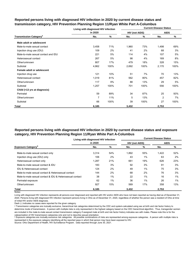|                                          | Living with diagnosed HIV infection |      |                       |      | <b>Current Disease Status</b> |      |
|------------------------------------------|-------------------------------------|------|-----------------------|------|-------------------------------|------|
|                                          | in 2020                             |      | <b>HIV (not AIDS)</b> |      | <b>AIDS</b>                   |      |
| <b>Transmission Category<sup>a</sup></b> | No.                                 | ℅    | No.                   | %    | No.                           | %    |
| Male adult or adolescent                 |                                     |      |                       |      |                               |      |
| Male-to-male sexual contact              | 3,458                               | 71%  | 1,960                 | 73%  | 1,498                         | 69%  |
| Injection drug use (IDU)                 | 109                                 | 2%   | 41                    | 2%   | 68                            | 3%   |
| Male-to-male sexual contact and IDU      | 221                                 | 5%   | 114                   | 4%   | 107                           | 5%   |
| Heterosexual contact                     | 267                                 | 5%   | 98                    | 4%   | 169                           | 8%   |
| Other/unknown                            | 807                                 | 17%  | 479                   | 18%  | 328                           | 15%  |
| Subtotal                                 | 4,862                               | 100% | 2,692                 | 100% | 2,170                         | 100% |
| Female adult or adolescent               |                                     |      |                       |      |                               |      |
| Injection drug use                       | 121                                 | 10%  | 51                    | 7%   | 70                            | 13%  |
| Heterosexual contact                     | 1,019                               | 81%  | 562                   | 80%  | 457                           | 82%  |
| Other/unknown                            | 117                                 | 9%   | 88                    | 13%  | 29                            | 5%   |
| Subtotal                                 | 1,257                               | 100% | 701                   | 100% | 556                           | 100% |
| Child (<13 yrs at diagnosis)             |                                     |      |                       |      |                               |      |
| Perinatal                                | 59                                  | 89%  | 34                    | 87%  | 25                            | 93%  |
| Other/unknown                            | 7                                   | 11%  | 5                     | 13%  | $\overline{2}$                | 7%   |
| Subtotal                                 | 66                                  | 100% | 39                    | 100% | 27                            | 100% |
| Total                                    | 6,185                               |      | 3,432                 |      | 2,753                         |      |

# **Reported persons living with diagnosed HIV infection in 2020 by current disease status and transmission category, HIV Prevention Planning Region 11/Ryan White Part A-Columbus**

# **Reported persons living with diagnosed HIV infection in 2020 by current disease status and exposure category, HIV Prevention Planning Region 11/Ryan White Part A-Columbus**

|                                                          | Living with diagnosed HIV infection |       |                       |     | <b>Current Disease Status</b> |     |  |
|----------------------------------------------------------|-------------------------------------|-------|-----------------------|-----|-------------------------------|-----|--|
|                                                          | in 2020                             |       | <b>HIV (not AIDS)</b> |     | <b>AIDS</b>                   |     |  |
| <b>Exposure Category</b> <sup>b</sup>                    | No.                                 | %     | No.                   | %   | No.                           | %   |  |
| Male-to-male sexual contact only                         | 3,314                               | 54%   | 1,892                 | 55% | 1,422                         | 52% |  |
| Injection drug use (IDU) only                            | 106                                 | 2%    | 43                    | 1%  | 63                            | 2%  |  |
| Heterosexual contact only                                | 1.287                               | 21%   | 661                   | 19% | 626                           | 23% |  |
| Male-to-male sexual contact & IDU                        | 183                                 | 3%    | 92                    | 3%  | 91                            | 3%  |  |
| IDU & Heterosexual contact                               | 124                                 | 2%    | 49                    | 1%  | 75                            | 3%  |  |
| Male-to-male sexual contact & Heterosexual contact       | 144                                 | 2%    | 68                    | 2%  | 76                            | 3%  |  |
| Male-to-male sexual contact & IDU & Heterosexual contact | 38                                  | $1\%$ | 22                    | 1%  | 16                            | 1%  |  |
| Perinatal exposure                                       | 62                                  | $1\%$ | 36                    | 1%  | 26                            | 1%  |  |
| Other/unknown                                            | 927                                 | 15%   | 569                   | 17% | 358                           | 13% |  |
| Total                                                    | 6.185                               |       | 3.432                 |     | 2.753                         |     |  |

Notes:

Living with diagnosed HIV infection represents all persons ever diagnosed and reported with HIV and/or AIDS who have not been reported as having died as of December 31, 2020. Persons living with diagnosed HIV infection represent persons living in Ohio as of December 31, 2020, regardless of whether the person was a resident of Ohio at time of initial HIV and/or AIDS diagnosis.

Dash (-) indicates no cases were reported for the given category.

a Transmission categories are mutually exclusive, hierarchical risk categories determined by the CDC and system-calculated using sex at birth and risk factor history to determine mode of transmission. A person with multiple risks is only represented in the highest category based on the CDC hierarchical algorithm. Thus, transgender women are included in the male-to-male sexual contact transmission category if assigned male at birth and risk factor history indicates sex with males. Please note this is for the categorization of HIV transmission categories only and not to describe sexual orientation.

**b** Exposure categories are mutually exclusive risk categories. All possible combinations of risks are represented among exposure categories. A person with multiple risks is represented in the exposure category identifying all the reported ways in which that person may have been exposed to HIV.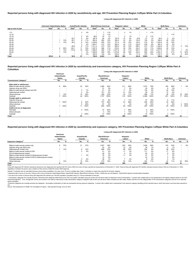<sup>c</sup> Transmission categories are mutually exclusive, hierarchical risk categories determined by the CDC and system-calculated using sex at birth and risk factor history to determine mode of transmission. A person with multi hierarchical algorithm. Thus, transgender women are included in the male-to-male sexual contact transmission category if assigned male at birth and risk factor history indicates sex with males. Please note this is for the sexual orientation.

<sup>d</sup> Exposure categories are mutually exclusive risk categories. All possible combinations of risks are represented among exposure categories. A person with multiple risks is represented in the exposure category identifying **HIV** 

Living with diagnosed HIV infection represents all persons ever diagnosed and reported with HIV and/or AIDS who have not been reported as having died as of December 31, 2020. Persons living with diagnosed HIV infection rep regardless of whether the person was a resident of Ohio at time of initial HIV and/or AIDS diagnosis.

#### Notes:

Source: Ohio Department of Health, HIV Surveillance Program. Data reported through June 30, 2021.

| American Indian/Alaska Native |                   |                          | <b>Asian/Pacific Islander</b><br><b>Black/African-American</b> |                   |     |                          | White<br>Hispanic/ Latinx <sup>a</sup> |       |       |                   | <b>Multi-Race</b> |                          |       | <b>Unknown</b>           |       |                   |     |       |     |     |
|-------------------------------|-------------------|--------------------------|----------------------------------------------------------------|-------------------|-----|--------------------------|----------------------------------------|-------|-------|-------------------|-------------------|--------------------------|-------|--------------------------|-------|-------------------|-----|-------|-----|-----|
| Age at end of year            | Rate <sup>n</sup> | No.                      | %                                                              | Rate <sup>"</sup> | No. | %                        | Rate <sup>b</sup>                      | No.   | %     | Rate <sup>"</sup> | No.               | ℅                        | Rate" | No.                      | %     | Rate <sup>"</sup> | No. |       | No. | ℅   |
| ~13                           |                   |                          |                                                                |                   |     | 4%                       |                                        |       | $1\%$ |                   |                   | 1%                       |       |                          | $1\%$ |                   |     |       |     |     |
| 13-14                         |                   |                          |                                                                |                   |     | $\overline{\phantom{a}}$ |                                        |       | $1\%$ |                   |                   | $\overline{\phantom{0}}$ |       | $\overline{\phantom{0}}$ |       |                   |     | $1\%$ |     |     |
| 15-19                         |                   |                          |                                                                |                   |     | 4%                       | 89.2                                   | 22    | 1%    |                   |                   | $1\%$                    |       |                          | $1\%$ |                   |     |       |     |     |
| $20 - 24$                     |                   |                          |                                                                | 62.7              |     | 9%                       | 387.9                                  | 94    | 4%    | 197.8             | 15                | 4%                       | 30.8  | 27                       | 1%    | 94.5              |     | 2%    |     |     |
| 25-29                         |                   |                          | 13%                                                            | 60.7              | 6   | $11\%$                   | 863.4                                  | 260   | 10%   | 380.4             | 32                | 8%                       | 134.5 | 146                      | 5%    | 564.4             | 28  | 10%   |     |     |
| 30-34                         |                   |                          | 13%                                                            | 66.3              |     | 14%                      | 1,429.6                                | 406   | 15%   | 751.0             | 59                | 15%                      | 193.2 | 219                      | 8%    | ,205.5            | 45  | 16%   |     |     |
| 35-39                         |                   |                          |                                                                |                   |     | 5%                       | ,263.7                                 | 312   | 12%   | 562.2             | 43                | 11%                      | 232.5 | 239                      | 9%    | 981.5             | 26  | 9%    |     |     |
| 40-44                         |                   |                          |                                                                | 69.6              | 6   | 11%                      | 1,211.2                                | 273   | 10%   | 893.0             | 59                | 15%                      | 289.  | 273                      | 10%   | .455.9            | 32  | 11%   |     | 10% |
| 45-49                         |                   |                          | 50%                                                            | 145.1             | 11  | 19%                      | .397.5                                 | 296   | 11%   | 679.3             | 38                | 10%                      | 334.7 | 310                      | 11%   | ,609.4            | 30  | 10%   |     |     |
| 50-54                         |                   |                          | 13%                                                            | 172.9             | 10  | 18%                      | 1,469.4                                | 285   | 11%   | 1,077.6           | 44                | 11%                      | 504.7 | 485                      | 17%   | 2,517.0           | 37  | 13%   |     | 5%  |
| 55-64                         |                   |                          | 13%                                                            |                   |     | 2%                       | ,398.9                                 | 499   | 19%   | ,279.6            | 68                | 18%                      | 424.4 | 829                      | 30%   | 2,591.3           | 61  | 21%   | 13  | 62% |
| $65+$                         |                   | $\overline{\phantom{a}}$ |                                                                |                   |     | 5%                       | 505.6                                  | 164   | 6%    | 545.6             | 21                | 5%                       | 111.9 | 270                      | 10%   | .197.3            | 23  | 8%    |     | 24% |
| Total                         | 203.0             |                          |                                                                | 52.5              | 57  |                          | 756.0                                  | 2,623 |       | 395.9             | 385               |                          | 191.8 | 2,803                    |       | 509.3             | 288 |       | 21  |     |

|                                           | Living with diagnosed HIV infection in 2020<br>American |                          |                                  |                          |                                   |      |                                  |      |                |      |                   |      |                          |                          |
|-------------------------------------------|---------------------------------------------------------|--------------------------|----------------------------------|--------------------------|-----------------------------------|------|----------------------------------|------|----------------|------|-------------------|------|--------------------------|--------------------------|
|                                           | Indian/Alaska<br><b>Native</b>                          |                          | Asian/Pacific<br><b>Islander</b> |                          | <b>Black/African-</b><br>American |      | Hispanic/<br>Latinx <sup>a</sup> |      | White          |      | <b>Multi-Race</b> |      | Unknown                  |                          |
| <b>Transmission Category</b> <sup>c</sup> | No.                                                     | %                        | No.                              | %                        | No.                               | %    | No.                              | %    | No.            | %    | No.               | %    | No.                      | %                        |
| Male adult or adolescent                  |                                                         |                          |                                  |                          |                                   |      |                                  |      |                |      |                   |      |                          |                          |
| Male-to-male sexual contact               | 6                                                       | 86%                      | 22                               | 52%                      | 1,085                             | 62%  | 211                              | 68%  | 1,973          | 79%  | 160               | 69%  |                          | 6%                       |
| Injection drug use (IDU)                  | $\overline{\phantom{0}}$                                | $\overline{\phantom{0}}$ | $\overline{\phantom{a}}$         | $\overline{\phantom{a}}$ | 51                                | 3%   |                                  | 2%   | 45             | 2%   | 6                 | 3%   |                          | $\overline{\phantom{a}}$ |
| Male-to-male sexual contact and IDU       |                                                         | $\overline{\phantom{0}}$ |                                  | 7%                       | 51                                | 3%   |                                  | 4%   | 134            | 5%   | 22                | 10%  | - 1                      | $\overline{\phantom{0}}$ |
| Heterosexual contact                      |                                                         |                          | 2                                | 5%                       | 161                               | 9%   | 31                               | 10%  | 58             | 2%   | 15                | 6%   |                          |                          |
| Other/unknown                             |                                                         | 14%                      | 15                               | 36%                      | 409                               | 23%  | 52                               | 17%  | 286            | 11%  | 28                | 12%  | 16                       | 94%                      |
| Subtotal                                  |                                                         | 100%                     | 42                               | 100%                     | 1,757                             | 100% | 312                              | 100% | 2,496          | 100% | 231               | 100% | 17                       | 100%                     |
| Female adult or adolescent                |                                                         |                          |                                  |                          |                                   |      |                                  |      |                |      |                   |      |                          |                          |
| Injection drug use                        | $\overline{\phantom{0}}$                                |                          | $\overline{\phantom{0}}$         | $\overline{\phantom{0}}$ | 51                                | 6%   |                                  | 11%  | 57             | 19%  | 6                 | 11%  | $\overline{\phantom{0}}$ |                          |
| Heterosexual contact                      |                                                         | 100%                     | 6                                | 55%                      | 707                               | 86%  | 57                               | 88%  | 205            | 69%  | 43                | 80%  |                          |                          |
| Other/unknown                             |                                                         |                          |                                  | 45%                      | 67                                | 8%   |                                  | 2%   | 35             | 12%  |                   | 9%   |                          | 100%                     |
| Subtotal                                  |                                                         | 100%                     |                                  | 100%                     | 825                               | 100% | 65                               | 100% | 297            | 100% | 54                | 100% |                          | 100%                     |
| Child (<13 yrs at diagnosis)              |                                                         |                          |                                  |                          |                                   |      |                                  |      |                |      |                   |      |                          |                          |
| Perinatal                                 | $\overline{\phantom{0}}$                                |                          |                                  | 4 100%                   | 37                                | 90%  |                                  | 88%  | 8              | 80%  | 3                 | 100% |                          |                          |
| Other/unknown                             |                                                         |                          |                                  |                          |                                   | 10%  |                                  | 13%  | $\overline{2}$ | 20%  |                   |      | $\overline{\phantom{0}}$ |                          |
| Subtotal                                  | $\overline{\phantom{0}}$                                |                          | 4                                | 100%                     | 41                                | 100% |                                  | 100% | 10             | 100% | 3                 | 100% | $\overline{\phantom{0}}$ | $\overline{\phantom{0}}$ |
| Total                                     |                                                         |                          | 57                               |                          | 2,623                             |      | 385                              |      | 2,803          |      | 288               |      | 21                       |                          |

|                                                          | Living with diagnosed HIV infection in 2020 |                          |                           |     |                                   |     |                                  |     |       |       |                   |     |                |     |
|----------------------------------------------------------|---------------------------------------------|--------------------------|---------------------------|-----|-----------------------------------|-----|----------------------------------|-----|-------|-------|-------------------|-----|----------------|-----|
|                                                          | American<br>Indian/Alaska<br>Native         |                          | Asian/Pacific<br>Islander |     | <b>Black/African-</b><br>American |     | Hispanic/<br>Latinx <sup>a</sup> |     | White |       | <b>Multi-Race</b> |     | <b>Unknown</b> |     |
| <b>Exposure Category</b> <sup>a</sup>                    | No.                                         | %                        | No.                       | %   | No.                               | %   | No.                              | %   | No.   | %     | No.               | %   | No.            | %   |
| Male-to-male sexual contact only                         | 6                                           | 75%                      | 21                        | 37% | 1,007                             | 38% | 200                              | 52% | 1,926 | 69%   | 153               | 53% |                | 5%  |
| Injection drug use (IDU) only                            |                                             |                          | $\overline{\phantom{a}}$  |     | 53                                | 2%  | 10                               | 3%  | 39    | 1%    |                   | 1%  |                |     |
| Heterosexual contact only                                |                                             | 13%                      |                           | 14% | 868                               | 33% | 88                               | 23% | 264   | 9%    | 58                | 20% |                |     |
| Male-to-male sexual contact & IDU                        |                                             | $\overline{\phantom{0}}$ |                           | 5%  | 41                                | 2%  |                                  | 3%  | 111   | 4%    | 17                | 6%  |                |     |
| IDU & Heterosexual contact                               |                                             |                          |                           |     | 49                                | 2%  |                                  | 1%  | 63    | 2%    | ö                 | 3%  |                |     |
| Male-to-male sexual contact & Heterosexual contact       |                                             | $\overline{\phantom{a}}$ |                           | 2%  | 78                                | 3%  |                                  | 3%  | 47    | 2%    |                   | 2%  |                |     |
| Male-to-male sexual contact & IDU & Heterosexual contact |                                             | $\overline{\phantom{0}}$ | $\overline{\phantom{a}}$  |     | 10                                | 0%  |                                  |     | 23    | $1\%$ |                   | 2%  |                |     |
| Perinatal exposure                                       |                                             |                          |                           | 9%  | 38                                | 1%  |                                  | 2%  |       | 0%    |                   | 1%  |                |     |
| Other/unknown                                            |                                             | 13%                      | 19                        | 33% | 479                               | 18% | 54                               | 14% | 322   | 11%   | 32                | 11% | 20             | 95% |
| Total                                                    |                                             |                          | 57                        |     | 2,623                             |     | 385                              |     | 2,803 |       | 288               |     | 21             |     |

ᵇ The rate is the number of persons living with diagnosed HIV infection per 100,000 population calculated using U.S. Census estimates for that year.

Asterisk (\*) indicates rate not calculated because census data unavailable or for case count <5 due to unstable rates. Dash (-) indicates no cases were reported for the given category.

a Hispanics/Latinx may be of any race. Persons with a race of American Indian/Alaska Native, Asian/Pacific Islander, Black/African-American, White, or Multi-race are not-Hispanic. Asian/Pacific Islander includes Native Haw

## **Reported persons living with diagnosed HIV infection in 2020 by race/ethnicity and exposure category, HIV Prevention Planning Region 11/Ryan White Part A-Columbus**

# **Reported persons living with diagnosed HIV infection in 2020 by race/ethnicity and transmission category, HIV Prevention Planning Region 11/Ryan White Part A-Columbus**

# **Reported persons living with diagnosed HIV infection in 2020 by race/ethnicity and age, HIV Prevention Planning Region 11/Ryan White Part A-Columbus**

### **Living with diagnosed HIV infection in 2020**